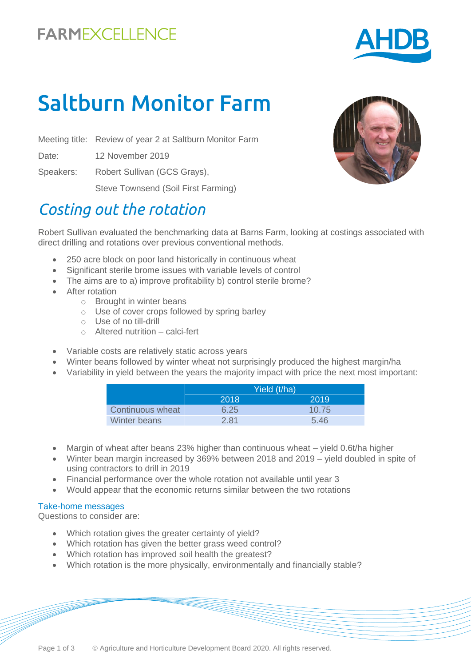

# Saltburn Monitor Farm

Meeting title: Review of year 2 at Saltburn Monitor Farm

Date: 12 November 2019

Speakers: Robert Sullivan (GCS Grays),

Steve Townsend (Soil First Farming)

## *Costing out the rotation*

Robert Sullivan evaluated the benchmarking data at Barns Farm, looking at costings associated with direct drilling and rotations over previous conventional methods.

- 250 acre block on poor land historically in continuous wheat
- Significant sterile brome issues with variable levels of control
- The aims are to a) improve profitability b) control sterile brome?
- After rotation
	- o Brought in winter beans
	- o Use of cover crops followed by spring barley
	- o Use of no till-drill
	- o Altered nutrition calci-fert
- Variable costs are relatively static across years
- Winter beans followed by winter wheat not surprisingly produced the highest margin/ha
- Variability in yield between the years the majority impact with price the next most important:

|                  | Yield (t/ha) |       |
|------------------|--------------|-------|
|                  | 2018         | 2019  |
| Continuous wheat | 6.25         | 10.75 |
| Winter beans     | 2.81         | 5.46  |

- Margin of wheat after beans 23% higher than continuous wheat yield 0.6t/ha higher
- Winter bean margin increased by 369% between 2018 and 2019 yield doubled in spite of using contractors to drill in 2019
- Financial performance over the whole rotation not available until year 3
- Would appear that the economic returns similar between the two rotations

#### Take-home messages

Questions to consider are:

- Which rotation gives the greater certainty of yield?
- Which rotation has given the better grass weed control?
- Which rotation has improved soil health the greatest?
- Which rotation is the more physically, environmentally and financially stable?

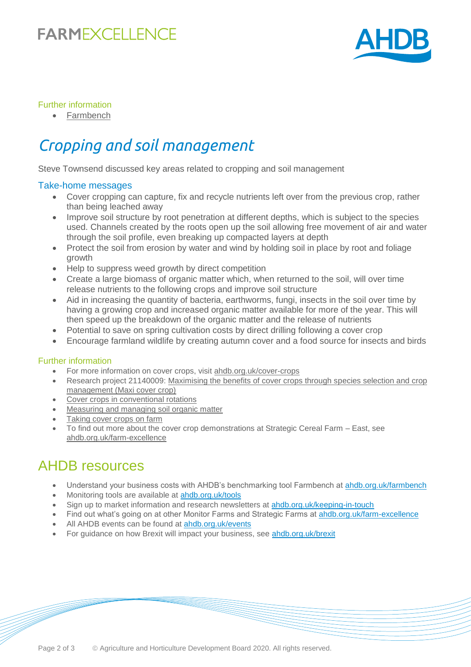## **FARMEXCELLENCE**



### Further information

• [Farmbench](https://ahdb.org.uk/farmbench)

# *Cropping and soil management*

Steve Townsend discussed key areas related to cropping and soil management

#### Take-home messages

- Cover cropping can capture, fix and recycle nutrients left over from the previous crop, rather than being leached away
- Improve soil structure by root penetration at different depths, which is subject to the species used. Channels created by the roots open up the soil allowing free movement of air and water through the soil profile, even breaking up compacted layers at depth
- Protect the soil from erosion by water and wind by holding soil in place by root and foliage growth
- Help to suppress weed growth by direct competition
- Create a large biomass of organic matter which, when returned to the soil, will over time release nutrients to the following crops and improve soil structure
- Aid in increasing the quantity of bacteria, earthworms, fungi, insects in the soil over time by having a growing crop and increased organic matter available for more of the year. This will then speed up the breakdown of the organic matter and the release of nutrients
- Potential to save on spring cultivation costs by direct drilling following a cover crop
- Encourage farmland wildlife by creating autumn cover and a food source for insects and birds

#### Further information

- For more information on cover crops, visit [ahdb.org.uk/cover-crops](https://ahdb.org.uk/cover-crops)
- [Research project 21140009: Maximising the benefits of cover crops through species selection and crop](https://cereals.ahdb.org.uk/publications/2017/january/11/maximising-the-benefits-from-cover-crops-through-species-selection-and-crop-management-(maxi-cover-crop).aspx)  [management \(Maxi cover crop\)](https://cereals.ahdb.org.uk/publications/2017/january/11/maximising-the-benefits-from-cover-crops-through-species-selection-and-crop-management-(maxi-cover-crop).aspx)
- [Cover crops in conventional rotations](https://cereals.ahdb.org.uk/publications/2017/january/11/maximising-the-benefits-from-cover-crops-through-species-selection-and-crop-management-(maxi-cover-crop).aspx)
- [Measuring and managing soil organic matter](https://ahdb.org.uk/knowledge-library/measuring-and-managing-soil-organic-matter)
- [Taking cover crops on farm](https://ahdb.org.uk/news/taking-cover-crop-research-on-farm)
- To find out more about the cover crop demonstrations at Strategic Cereal Farm East, see [ahdb.org.uk/farm-excellence](https://ahdb.org.uk/farm-excellence)

### AHDB resources

- Understand your business costs with AHDB's benchmarking tool Farmbench at [ahdb.org.uk/farmbench](https://ahdb.org.uk/farmbench)
- Monitoring tools are available at [ahdb.org.uk/tools](https://ahdb.org.uk/tools)
- Sign up to market information and research newsletters at [ahdb.org.uk/keeping-in-touch](https://ahdb.org.uk/keeping-in-touch)
- Find out what's going on at other Monitor Farms and Strategic Farms at [ahdb.org.uk/farm-excellence](https://ahdb.org.uk/farm-excellence)
- All AHDB events can be found at [ahdb.org.uk/events](https://ahdb.org.uk/events)
- For guidance on how Brexit will impact your business, see [ahdb.org.uk/brexit](https://ahdb.org.uk/brexit)